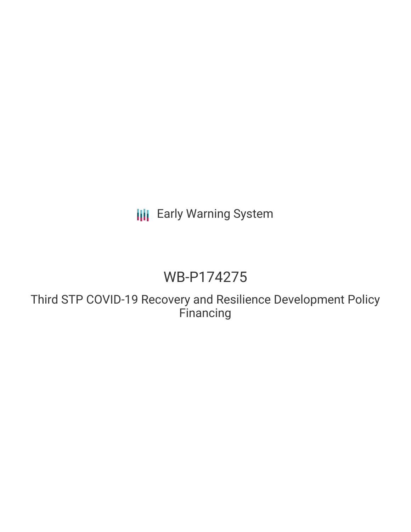**III** Early Warning System

# WB-P174275

Third STP COVID-19 Recovery and Resilience Development Policy Financing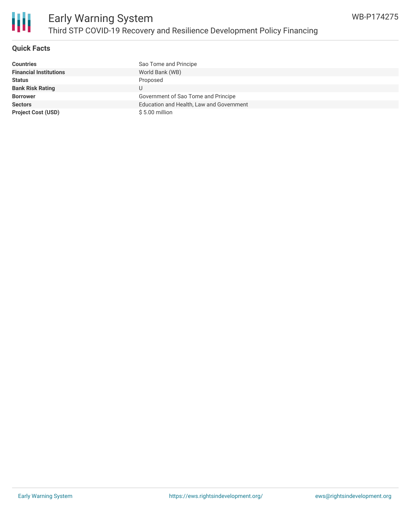

## **Quick Facts**

| <b>Countries</b>              | Sao Tome and Principe                    |
|-------------------------------|------------------------------------------|
| <b>Financial Institutions</b> | World Bank (WB)                          |
| <b>Status</b>                 | Proposed                                 |
| <b>Bank Risk Rating</b>       | U                                        |
| <b>Borrower</b>               | Government of Sao Tome and Principe      |
| <b>Sectors</b>                | Education and Health, Law and Government |
| <b>Project Cost (USD)</b>     | $$5.00$ million                          |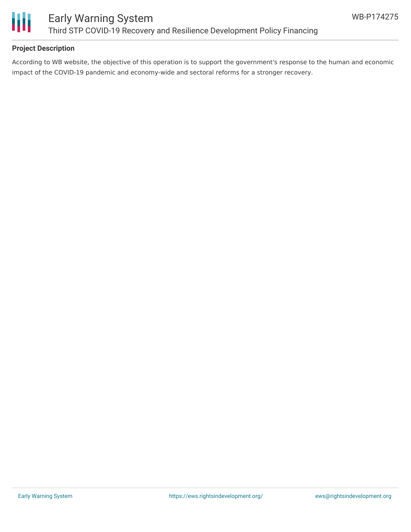

# **Project Description**

According to WB website, the objective of this operation is to support the government's response to the human and economic impact of the COVID-19 pandemic and economy-wide and sectoral reforms for a stronger recovery.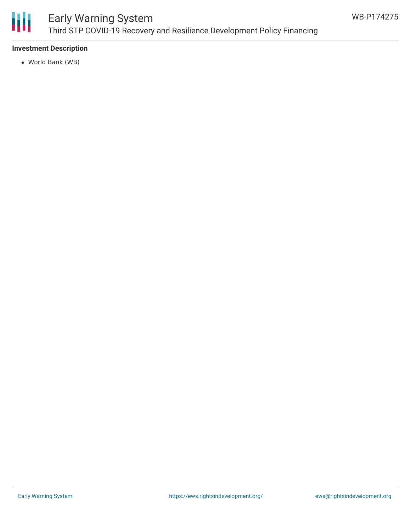

# Early Warning System Third STP COVID-19 Recovery and Resilience Development Policy Financing

# **Investment Description**

World Bank (WB)